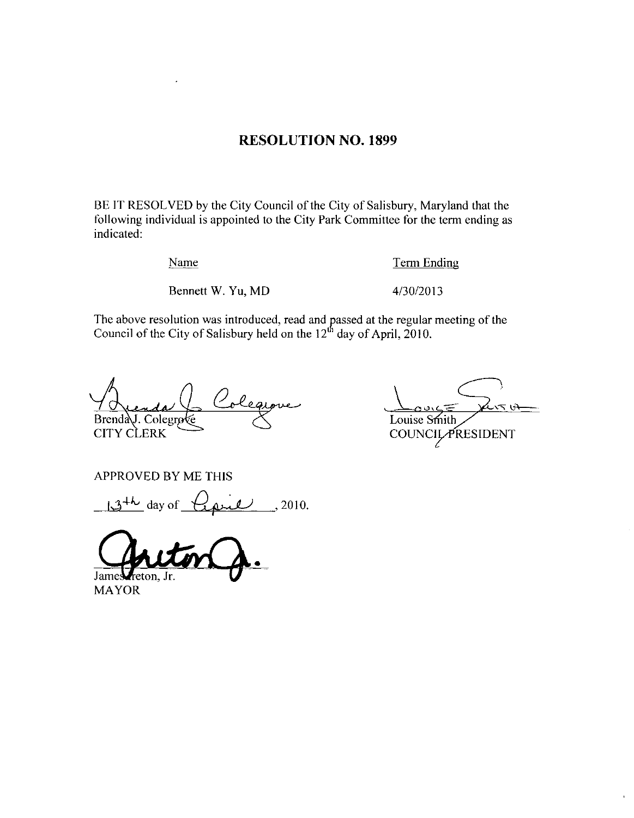### **RESOLUTION NO. 1899**

BE IT RESOLVED by the City Council of the City of Salisbury, Maryland that the following individual is appointed to the City Park Committee for the term ending as indicated:

Name

**Term Ending** 

Bennett W. Yu, MD

4/30/2013

The above resolution was introduced, read and passed at the regular meeting of the Council of the City of Salisbury held on the  $12<sup>th</sup>$  day of April, 2010.

olea Brenda J. Colegro **CITY CLERK** 

へくい Louise Smith COUNCIL PRESIDENT

**APPROVED BY ME THIS** 

 $13^{+k}$  day of  $l$  pull, 2010.

Jame

**MAYOR**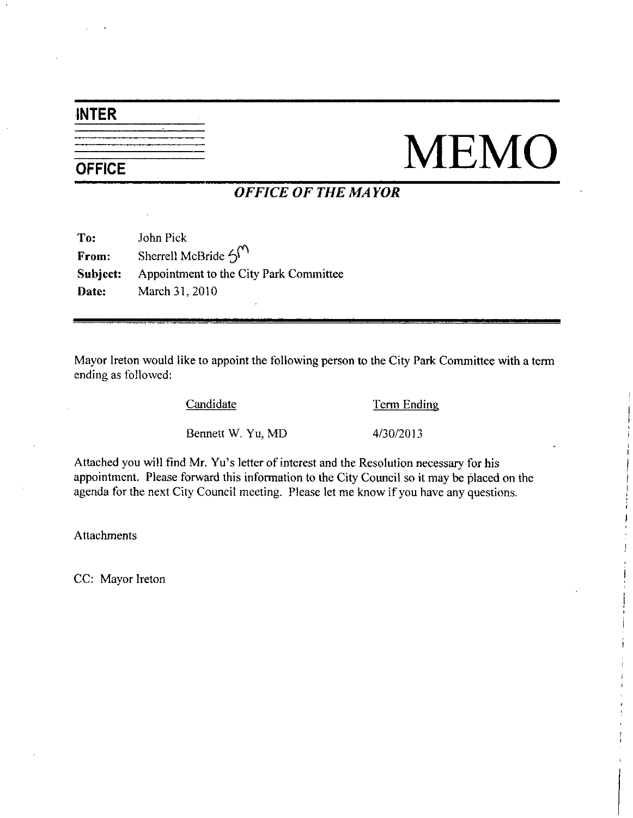# INTER

# NEMO

## OFFICE OF THE MAYOR

|          | <b>OFFICE OF THE</b>                    |
|----------|-----------------------------------------|
| To:      | John Pick                               |
| From:    | Sherrell McBride $\mathcal{H}^{\prime}$ |
| Subject: | Appointment to the City Park Committee  |
| Date:    | March 31, 2010                          |
|          |                                         |

Mayor Ireton would like to appoint the following person to the City Park Committee with a term ending as followed Candidate  $\frac{\text{Term Endi}}{4/30/2013}$ <br>Bennett W. Yu, MD  $4/30/2013$ 

Candidate **Term Ending** 

Bennett W. Yu, MD 4/30/2013<br>Attached you will find Mr. Yu's letter of interest and the Resolution necessary for his appointment. Please forward this information to the City Council so it may be placed on the agenda for the next City Council meeting. Please let me know if you have any questions.

**Attachments** 

CC: Mayor Ireton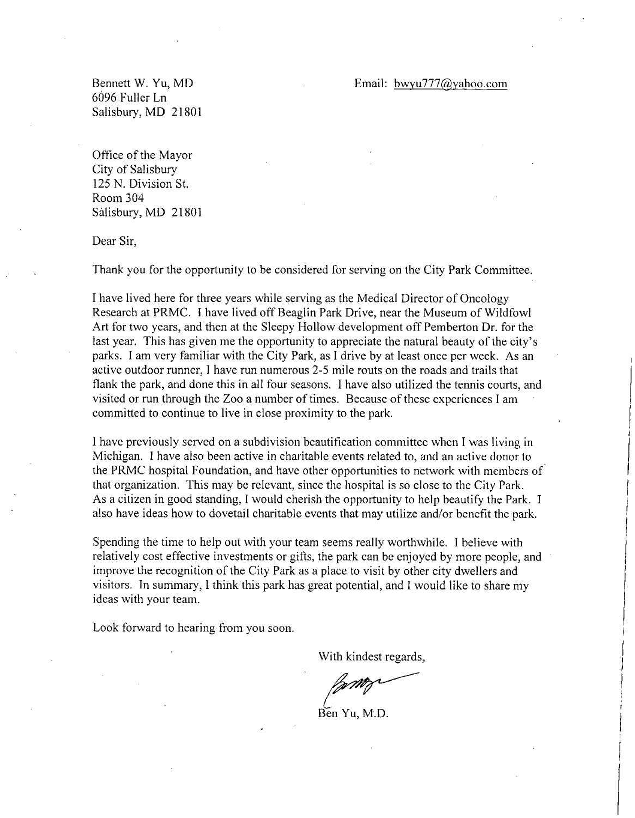### Email: bwyu777@yahoo.com

Bennett W. Yu, MD 6096 Fuller Ln Salisbury, MD 21801

Office of the Mayor City of Salisbury 125 N. Division St. Room 304 Salisbury, MD 21801

Dear Sir

Thank you for the opportunity to be considered for serving on the City Park Committee

<sup>I</sup> have lived here for three years while serving as the Medical Director ofOncology Research at PRMC. I have lived off Beaglin Park Drive, near the Museum of Wildfowl Art for two years and then at the Sleepy Hollow development off Pemberton Dr for the last year. This has given me the opportunity to appreciate the natural beauty of the city's parks Iam very familiar with the City Park as <sup>I</sup> drive by at least once per week As an active outdoor runner, I have run numerous 2-5 mile routs on the roads and trails that flank the park, and done this in all four seasons. I have also utilized the tennis courts, and visited or run through the Zoo a number of times. Because of these experiences I am committed to continue to live in close proximity to the park

I have previously served on <sup>a</sup> subdivision beautification committee when <sup>I</sup> was living in Michigan. I have also been active in charitable events related to, and an active donor to the PRMC hospital Foundation and have other opportunities to network with members of that organization. This may be relevant, since the hospital is so close to the City Park. As a citizen in good standing, I would cherish the opportunity to help beautify the Park. I also have ideas how to dovetail charitable events that may utilize and/or benefit the park.

Spending the time to help out with your team seems really worthwhile. I believe with relatively cost effective investments or gifts, the park can be enjoyed by more people, and improve the recognition of the City Park as <sup>a</sup> place to visit by other city dwellers and visitors In summary <sup>I</sup> think this park has great potential and Iwould like to share my ideas with your team

Look forward to hearing from you soon.

With kindest regards

Ben Yu, M.D.